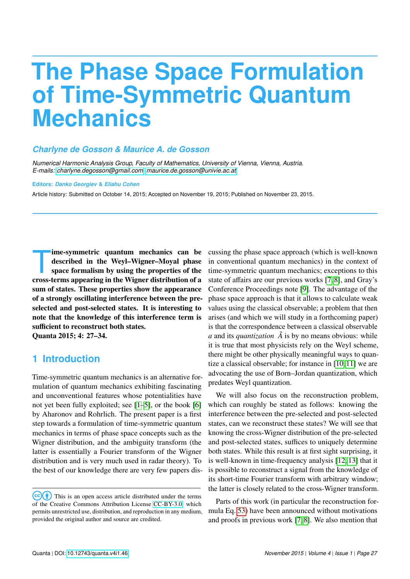# **The Phase Space Formulation of Time-Symmetric Quantum Mechanics**

#### *Charlyne de Gosson & Maurice A. de Gosson*

*Numerical Harmonic Analysis Group, Faculty of Mathematics, University of Vienna, Vienna, Austria. E-mails: [charlyne.degosson@gmail.com,](mailto:charlyne.degosson@gmail.com) [maurice.de.gosson@univie.ac.at](mailto:maurice.de.gosson@univie.ac.at)*

#### **Editors:** *Danko Georgiev* **&** *Eliahu Cohen*

Article history: Submitted on October 14, 2015; Accepted on November 19, 2015; Published on November 23, 2015.

Ime-symmetric quantum mechanics can be<br>described in the Weyl–Wigner–Moyal phase<br>space formalism by using the properties of the<br>cross-terms appearing in the Wigner distribution of a ime-symmetric quantum mechanics can be described in the Weyl–Wigner–Moyal phase space formalism by using the properties of the sum of states. These properties show the appearance of a strongly oscillating interference between the preselected and post-selected states. It is interesting to note that the knowledge of this interference term is sufficient to reconstruct both states. Quanta 2015; 4: 27–34.

## **1 Introduction**

Time-symmetric quantum mechanics is an alternative formulation of quantum mechanics exhibiting fascinating and unconventional features whose potentialities have not yet been fully exploited; see [\[1–](#page-5-0)[5\]](#page-5-1), or the book [\[6\]](#page-6-0) by Aharonov and Rohrlich. The present paper is a first step towards a formulation of time-symmetric quantum mechanics in terms of phase space concepts such as the Wigner distribution, and the ambiguity transform (the latter is essentially a Fourier transform of the Wigner distribution and is very much used in radar theory). To the best of our knowledge there are very few papers discussing the phase space approach (which is well-known in conventional quantum mechanics) in the context of time-symmetric quantum mechanics; exceptions to this state of affairs are our previous works [\[7,](#page-6-1) [8\]](#page-6-2), and Gray's Conference Proceedings note [\[9\]](#page-6-3). The advantage of the phase space approach is that it allows to calculate weak values using the classical observable; a problem that then arises (and which we will study in a forthcoming paper) is that the correspondence between a classical observable *a* and its *quantization*  $\hat{A}$  is by no means obvious: while it is true that most physicists rely on the Weyl scheme, there might be other physically meaningful ways to quantize a classical observable; for instance in [\[10,](#page-6-4) [11\]](#page-6-5) we are advocating the use of Born–Jordan quantization, which predates Weyl quantization.

We will also focus on the reconstruction problem, which can roughly be stated as follows: knowing the interference between the pre-selected and post-selected states, can we reconstruct these states? We will see that knowing the cross-Wigner distribution of the pre-selected and post-selected states, suffices to uniquely determine both states. While this result is at first sight surprising, it is well-known in time-frequency analysis [\[12,](#page-6-6) [13\]](#page-6-7) that it is possible to reconstruct a signal from the knowledge of its short-time Fourier transform with arbitrary window; the latter is closely related to the cross-Wigner transform.

Parts of this work (in particular the reconstruction formula Eq. [53\)](#page-5-2) have been announced without motivations and proofs in previous work [\[7,](#page-6-1) [8\]](#page-6-2). We also mention that

 $(cc)(\dagger)$  This is an open access article distributed under the terms of the Creative Commons Attribution License [CC-BY-3.0,](http://creativecommons.org/licenses/by/3.0/) which permits unrestricted use, distribution, and reproduction in any medium, provided the original author and source are credited.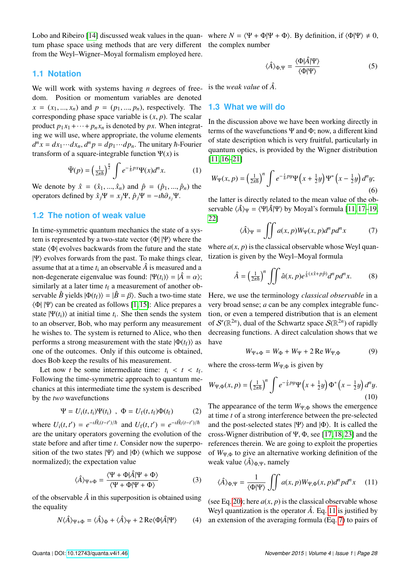tum phase space using methods that are very different the complex number from the Weyl–Wigner–Moyal formalism employed here.

#### **1.1 Notation**

We will work with systems having *n* degrees of freedom. Position or momentum variables are denoted  $x = (x_1, ..., x_n)$  and  $p = (p_1, ..., p_n)$ , respectively. The corresponding phase space variable is  $(x, p)$ . The scalar product  $p_1 x_1 + \cdots + p_n x_n$  is denoted by *px*. When integrating we will use, where appropriate, the volume elements  $d^n x = dx_1 \cdots dx_n$ ,  $d^n p = dp_1 \cdots dp_n$ . The unitary  $\hbar$ -Fourier transform of a square-integrable function  $\Psi(x)$  is

$$
\tilde{\Psi}(p) = \left(\frac{1}{2\pi\hbar}\right)^{\frac{n}{2}} \int e^{-\frac{i}{\hbar}px} \Psi(x) d^n x.
$$
 (1)

We denote by  $\hat{x} = (\hat{x}_1, ..., \hat{x}_n)$  and  $\hat{p} = (\hat{p}_1, ..., \hat{p}_n)$  the operators defined by  $\hat{x}_j \Psi = x_j \Psi$ ,  $\hat{p}_j \Psi = -i\hbar \partial_{x_j} \Psi$ .

#### **1.2 The notion of weak value**

In time-symmetric quantum mechanics the state of a system is represented by a two-state vector  $\langle \Phi | | \Psi \rangle$  where the state  $\Phi$  evolves backwards from the future and the state  $|\Psi\rangle$  evolves forwards from the past. To make things clear, assume that at a time  $t_i$  an observable  $\hat{A}$  is measured and a non-degenerate eigenvalue was found:  $|\Psi(t_i)\rangle = |\hat{A} = \alpha\rangle$ ; similarly at a later time  $t_f$  a measurement of another observable  $\hat{B}$  yields  $|\Phi(t_f)\rangle = |\hat{B} = \beta\rangle$ . Such a two-time state  $\langle \Phi | \Psi \rangle$  can be created as follows [\[1,](#page-5-0) [15\]](#page-6-9): Alice prepares a state  $|\Psi(t_i)\rangle$  at initial time  $t_i$ . She then sends the system to an observer, Bob, who may perform any measurement he wishes to. The system is returned to Alice, who then performs a strong measurement with the state  $|\Phi(t_f)\rangle$  as one of the outcomes. Only if this outcome is obtained, does Bob keep the results of his measurement.

Let now *t* be some intermediate time:  $t_i < t < t_f$ .<br>
Ilowing the time symmetric approach to quantum me Following the time-symmetric approach to quantum mechanics at this intermediate time the system is described by the *two* wavefunctions

$$
\Psi = U_{i}(t, t_{i})\Psi(t_{i}) \quad \Phi = U_{f}(t, t_{f})\Phi(t_{f}) \tag{2}
$$

where  $U_i(t, t') = e^{-i\hat{H}_i(t-t')/\hbar}$  and  $U_f(t, t') = e^{-i\hat{H}_f(t-t')/\hbar}$ <br>are the unitary operators governing the evolution of the are the unitary operators governing the evolution of the state before and after time *t*. Consider now the superposition of the two states  $|\Psi\rangle$  and  $|\Phi\rangle$  (which we suppose normalized); the expectation value

$$
\langle \hat{A} \rangle_{\Psi + \Phi} = \frac{\langle \Psi + \Phi | \hat{A} | \Psi + \Phi \rangle}{\langle \Psi + \Phi | \Psi + \Phi \rangle} \tag{3}
$$

of the observable  $\hat{A}$  in this superposition is obtained using the equality

<span id="page-1-3"></span>
$$
N\langle \hat{A} \rangle_{\Psi + \Phi} = \langle \hat{A} \rangle_{\Phi} + \langle \hat{A} \rangle_{\Psi} + 2 \operatorname{Re} \langle \Phi | \hat{A} | \Psi \rangle \tag{4}
$$

Lobo and Ribeiro [\[14\]](#page-6-8) discussed weak values in the quan- where  $N = \langle \Psi + \Phi | \Psi + \Phi \rangle$ . By definition, if  $\langle \Phi | \Psi \rangle \neq 0$ ,

<span id="page-1-4"></span>
$$
\langle \hat{A} \rangle_{\Phi,\Psi} = \frac{\langle \Phi | \hat{A} | \Psi \rangle}{\langle \Phi | \Psi \rangle} \tag{5}
$$

is the *weak value* of *A*ˆ.

#### **1.3 What we will do**

In the discussion above we have been working directly in terms of the wavefunctions  $\Psi$  and  $\Phi$ ; now, a different kind of state description which is very fruitful, particularly in quantum optics, is provided by the Wigner distribution [\[11,](#page-6-5) [16–](#page-6-10)[21\]](#page-6-11)

$$
W_{\Psi}(x,p) = \left(\frac{1}{2\pi\hbar}\right)^n \int e^{-\frac{1}{\hbar}py}\Psi\left(x+\frac{1}{2}y\right)\Psi^*\left(x-\frac{1}{2}y\right)d^ny;
$$
\n(6)

the latter is directly related to the mean value of the observable  $\langle \hat{A} \rangle_{\Psi} = \langle \Psi | \hat{A} | \Psi \rangle$  by Moyal's formula [\[11,](#page-6-5) [17–](#page-6-12)[19,](#page-6-13) [22\]](#page-6-14)

<span id="page-1-1"></span>
$$
\langle \hat{A} \rangle_{\Psi} = \iint a(x, p) W_{\Psi}(x, p) d^n p d^n x \tag{7}
$$

where  $a(x, p)$  is the classical observable whose Weyl quantization is given by the Weyl–Moyal formula

$$
\hat{A} = \left(\frac{1}{2\pi\hbar}\right)^n \iint \hat{a}(x, p)e^{\frac{i}{\hbar}(x\hat{x} + p\hat{p})}d^n p d^n x.
$$
 (8)

Here, we use the terminology *classical observable* in a very broad sense; *a* can be any complex integrable function, or even a tempered distribution that is an element of  $\mathcal{S}'(\mathbb{R}^{2n})$ , dual of the Schwartz space  $\mathcal{S}(\mathbb{R}^{2n})$  of rapidly decreasing functions. A direct calculation shows that we have

<span id="page-1-2"></span>
$$
W_{\Psi+\Phi} = W_{\Phi} + W_{\Psi} + 2 \operatorname{Re} W_{\Psi,\Phi} \tag{9}
$$

where the cross-term  $W_{\Psi,\Phi}$  is given by

<span id="page-1-5"></span>
$$
W_{\Psi,\Phi}(x,p) = \left(\frac{1}{2\pi\hbar}\right)^n \int e^{-\frac{1}{\hbar}py}\Psi\left(x+\frac{1}{2}y\right)\Phi^*\left(x-\frac{1}{2}y\right)d^ny.
$$
\n(10)

The appearance of the term  $W_{\Psi,\Phi}$  shows the emergence at time *t* of a strong interference between the pre-selected and the post-selected states  $|\Psi\rangle$  and  $|\Phi\rangle$ . It is called the cross-Wigner distribution of  $\Psi$ ,  $\Phi$ , see [\[17,](#page-6-12) [18,](#page-6-15) [23\]](#page-6-16) and the references therein. We are going to exploit the properties of *<sup>W</sup>*Ψ,<sup>Φ</sup> to give an alternative working definition of the weak value  $\langle \hat{A} \rangle_{\Phi,\Psi}$ , namely

<span id="page-1-0"></span>
$$
\langle \hat{A} \rangle_{\Phi,\Psi} = \frac{1}{\langle \Phi | \Psi \rangle} \iint a(x,p) W_{\Psi,\Phi}(x,p) d^n p d^n x \quad (11)
$$

(see Eq. [20\)](#page-2-0); here  $a(x, p)$  is the classical observable whose Weyl quantization is the operator  $\hat{A}$ . Eq. [11](#page-1-0) is justified by ) an extension of the averaging formula (Eq. [7\)](#page-1-1) to pairs of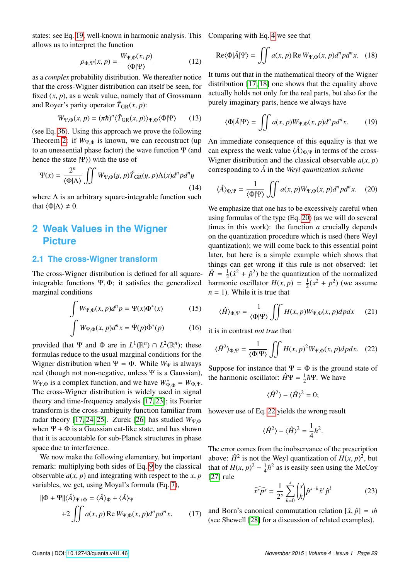states: see Eq. [19,](#page-2-1) well-known in harmonic analysis. This Comparing with Eq. [4](#page-1-3) we see that allows us to interpret the function

$$
\rho_{\Phi,\Psi}(x,p) = \frac{W_{\Psi,\Phi}(x,p)}{\langle \Phi | \Psi \rangle} \tag{12}
$$

as a *complex* probability distribution. We thereafter notice that the cross-Wigner distribution can itself be seen, for fixed  $(x, p)$ , as a weak value, namely that of Grossmann and Royer's parity operator  $\hat{T}_{GR}(x, p)$ :

$$
W_{\Psi,\Phi}(x,p) = (\pi \hbar)^n \langle \hat{T}_{GR}(x,p) \rangle_{\Psi,\Phi} \langle \Phi | \Psi \rangle \qquad (13)
$$

(see Eq. [36\)](#page-3-0). Using this approach we prove the following Theorem [2:](#page-5-3) if  $W_{\Psi,\Phi}$  is known, we can reconstruct (up to an unessential phase factor) the wave function Ψ (and hence the state  $|\Psi\rangle$ ) with the use of

$$
\Psi(x) = \frac{2^n}{\langle \Phi | \Lambda \rangle} \iiint W_{\Psi, \Phi}(y, p) \hat{T}_{GR}(y, p) \Lambda(x) d^n p d^n y
$$
\n(14)

where  $\Lambda$  is an arbitrary square-integrable function such that  $\langle \Phi | \Lambda \rangle \neq 0$ .

## **2 Weak Values in the Wigner Picture**

#### **2.1 The cross-Wigner transform**

The cross-Wigner distribution is defined for all squareintegrable functions  $\Psi$ ,  $\Phi$ ; it satisfies the generalized marginal conditions

$$
\int W_{\Psi,\Phi}(x,p)d^n p = \Psi(x)\Phi^*(x)
$$
 (15)

$$
\int W_{\Psi,\Phi}(x,p)d^{n}x = \tilde{\Psi}(p)\tilde{\Phi}^*(p)
$$
 (16)

provided that  $\Psi$  and  $\Phi$  are in  $L^1(\mathbb{R}^n) \cap L^2(\mathbb{R}^n)$ ; these formulas reduce to the usual marginal conditions for the Wigner distribution when  $\Psi = \Phi$ . While  $W_{\Psi}$  is always real (though not non-negative, unless Ψ is a Gaussian),  $W_{\Psi,\Phi}$  is a complex function, and we have  $W_{\Psi,\Phi}^* = W_{\Phi,\Psi}$ .<br>The energy *Wigner distribution is widely used in circul*  $W_{\Psi,\Phi}$  is a complex function, and we have  $W_{\Psi,\Phi} = W_{\Phi,\Psi}$ .<br>The cross-Wigner distribution is widely used in signal theory and time-frequency analysis [\[17,](#page-6-12) [23\]](#page-6-16); its Fourier transform is the cross-ambiguity function familiar from radar theory [\[17,](#page-6-12) [24,](#page-6-17) [25\]](#page-6-18). Zurek [\[26\]](#page-6-19) has studied  $W_{\Psi,\Phi}$ when  $\Psi + \Phi$  is a Gaussian cat-like state, and has shown that it is accountable for sub-Planck structures in phase space due to interference.

We now make the following elementary, but important remark: multiplying both sides of Eq. [9](#page-1-2) by the classical observable  $a(x, p)$  and integrating with respect to the *x*, *p* variables, we get, using Moyal's formula (Eq. [7\)](#page-1-1),

$$
\|\Phi + \Psi\| \langle \hat{A} \rangle_{\Psi + \Phi} = \langle \hat{A} \rangle_{\Phi} + \langle \hat{A} \rangle_{\Psi}
$$
  
+2 
$$
\iint a(x, p) \operatorname{Re} W_{\Psi, \Phi}(x, p) d^n p d^n x.
$$
 (17)

$$
\text{Re}\langle\Phi|\hat{A}|\Psi\rangle = \iint a(x,p)\,\text{Re}\,W_{\Psi,\Phi}(x,p)d^n p d^n x. \quad (18)
$$

It turns out that in the mathematical theory of the Wigner distribution [\[17,](#page-6-12) [18\]](#page-6-15) one shows that the equality above actually holds not only for the real parts, but also for the purely imaginary parts, hence we always have

<span id="page-2-1"></span>
$$
\langle \Phi | \hat{A} | \Psi \rangle = \iint a(x, p) W_{\Psi, \Phi}(x, p) d^n p d^n x. \tag{19}
$$

An immediate consequence of this equality is that we can express the weak value  $\langle \hat{A} \rangle_{\Phi \Psi}$  in terms of the cross-Wigner distribution and the classical observable  $a(x, p)$ corresponding to  $\hat{A}$  in the *Weyl quantization scheme* 

<span id="page-2-0"></span>
$$
\langle \hat{A} \rangle_{\Phi,\Psi} = \frac{1}{\langle \Phi | \Psi \rangle} \iint a(x,p) W_{\Psi,\Phi}(x,p) d^n p d^n x. \tag{20}
$$

We emphasize that one has to be excessively careful when using formulas of the type (Eq. [20\)](#page-2-0) (as we will do several times in this work): the function *a* crucially depends on the quantization procedure which is used (here Weyl quantization); we will come back to this essential point later, but here is a simple example which shows that things can get wrong if this rule is not observed: let  $\hat{H} = \frac{1}{2}$  $\frac{1}{2}(\hat{x}^2 + \hat{p}^2)$  be the quantization of the normalized harmonic oscillator  $H(x, p) = \frac{1}{2}$ <br>*n* = 1). While it is true that  $\frac{1}{2}(x^2 + p^2)$  (we assume  $n = 1$ ). While it is true that

<span id="page-2-3"></span>
$$
\langle \hat{H} \rangle_{\Phi,\Psi} = \frac{1}{\langle \Phi | \Psi \rangle} \iint H(x,p) W_{\Psi,\Phi}(x,p) dp dx \qquad (21)
$$

<span id="page-2-4"></span>it is in contrast *not true* that

<span id="page-2-2"></span>
$$
\langle \hat{H}^2 \rangle_{\Phi,\Psi} = \frac{1}{\langle \Phi | \Psi \rangle} \iint H(x,p)^2 W_{\Psi,\Phi}(x,p) dp dx. \quad (22)
$$

Suppose for instance that  $\Psi = \Phi$  is the ground state of the harmonic oscillator:  $\hat{H}\Psi = \frac{1}{2}\hbar\Psi$ . We have

$$
\langle \hat{H}^2 \rangle - \langle \hat{H} \rangle^2 = 0;
$$

however use of Eq. [22](#page-2-2) yields the wrong result

$$
\langle \hat{H}^2 \rangle - \langle \hat{H} \rangle^2 = \frac{1}{4} \hbar^2.
$$

The error comes from the inobservance of the prescription above:  $\hat{H}^2$  is not the Weyl quantization of  $H(x, p)^2$ , but<br>that of  $H(x, p)^2 - \frac{1}{2}h^2$  as is easily seen using the McCoy that of  $H(x, p)^2 - \frac{1}{4}$  $\frac{1}{4}\hbar^2$  as is easily seen using the McCoy [\[27\]](#page-6-20) rule

$$
\widehat{x^r p^s} = \frac{1}{2^s} \sum_{k=0}^s {s \choose k} \widehat{p}^{s-k} \widehat{x}^r \widehat{p}^k
$$
 (23)

and Born's canonical commutation relation  $[\hat{x}, \hat{p}] = i\hbar$ (see Shewell [\[28\]](#page-7-0) for a discussion of related examples).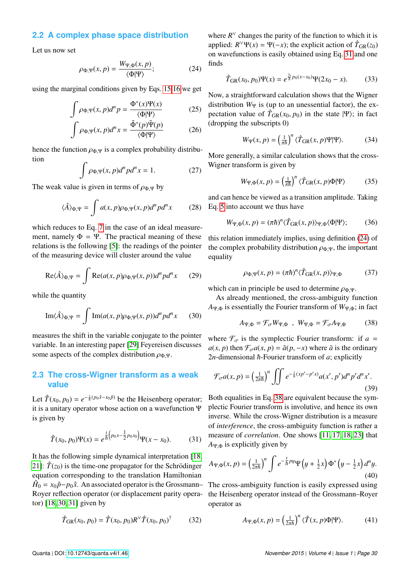#### **2.2 A complex phase space distribution**

Let us now set

<span id="page-3-2"></span>
$$
\rho_{\Phi,\Psi}(x,p) = \frac{W_{\Psi,\Phi}(x,p)}{\langle \Phi | \Psi \rangle};\tag{24}
$$

using the marginal conditions given by Eqs. [15](#page-2-3)[,16](#page-2-4) we get

$$
\int \rho_{\Phi,\Psi}(x,p)d^n p = \frac{\Phi^*(x)\Psi(x)}{\langle \Phi|\Psi \rangle} \tag{25}
$$

$$
\int \rho_{\Phi,\Psi}(x,p)d^n x = \frac{\tilde{\Phi}^*(p)\tilde{\Psi}(p)}{\langle \Phi | \Psi \rangle} \tag{26}
$$

hence the function  $\rho_{\Phi,\Psi}$  is a complex probability distribution

$$
\int \rho_{\Phi,\Psi}(x,p)d^n p d^n x = 1. \tag{27}
$$

The weak value is given in terms of  $\rho_{\Phi,\Psi}$  by

<span id="page-3-7"></span>
$$
\langle \hat{A} \rangle_{\Phi,\Psi} = \int a(x,p)\rho_{\Phi,\Psi}(x,p)d^n p d^n x \tag{28}
$$

which reduces to Eq. [7](#page-1-1) in the case of an ideal measurement, namely  $\Phi = \Psi$ . The practical meaning of these relations is the following [\[5\]](#page-5-1): the readings of the pointer of the measuring device will cluster around the value

$$
\text{Re}\langle \hat{A} \rangle_{\Phi,\Psi} = \int \text{Re}(a(x,p)\rho_{\Phi,\Psi}(x,p))d^n p d^n x \qquad (29)
$$

while the quantity

Im
$$
\langle \hat{A} \rangle_{\Phi, \Psi} = \int \text{Im}(a(x, p)\rho_{\Phi, \Psi}(x, p))d^n p d^n x
$$
 (30)

measures the shift in the variable conjugate to the pointer variable. In an interesting paper [\[29\]](#page-7-1) Feyereisen discusses some aspects of the complex distribution  $\rho_{\Phi,\Psi}$ .

#### **2.3 The cross-Wigner transform as a weak value**

Let  $\hat{T}(x_0, p_0) = e^{-\frac{1}{\hbar}(p_0 \hat{x} - x_0 \hat{p})}$  be the Heisenberg operator;<br>it is a unitary operator whose action on a wavefunction  $\Psi$ it is a unitary operator whose action on a wavefunction Ψ is given by

<span id="page-3-1"></span>
$$
\hat{T}(x_0, p_0)\Psi(x) = e^{\frac{1}{\hbar}\left(p_0 x - \frac{1}{2}p_0 x_0\right)}\Psi(x - x_0).
$$
 (31)

It has the following simple dynamical interpretation [\[18,](#page-6-15) [21\]](#page-6-11):  $\hat{T}(z_0)$  is the time-one propagator for the Schrödinger equation corresponding to the translation Hamiltonian  $\hat{H}_0 = x_0 \hat{p} - p_0 \hat{x}$ . An associated operator is the Grossmann– Royer reflection operator (or displacement parity operator) [\[18,](#page-6-15) [30,](#page-7-2) [31\]](#page-7-3) given by

$$
\hat{T}_{GR}(x_0, p_0) = \hat{T}(x_0, p_0) R^{\vee} \hat{T}(x_0, p_0)^{\dagger}
$$
 (32)

where  $R^{\vee}$  changes the parity of the function to which it is applied:  $R^{\vee}\Psi(x) = \Psi(-x)$ ; the explicit action of  $\hat{T}_{GR}(z_0)$ on wavefunctions is easily obtained using Eq. [31](#page-3-1) and one finds

<span id="page-3-8"></span>
$$
\hat{T}_{GR}(x_0, p_0)\Psi(x) = e^{\frac{2t}{\hbar}p_0(x-x_0)}\Psi(2x_0 - x).
$$
 (33)

<span id="page-3-6"></span>Now, a straightforward calculation shows that the Wigner distribution  $W_{\Psi}$  is (up to an unessential factor), the expectation value of  $\hat{T}_{GR}(x_0, p_0)$  in the state  $|\Psi\rangle$ ; in fact (dropping the subscripts 0)

$$
W_{\Psi}(x, p) = \left(\frac{1}{\pi \hbar}\right)^n \langle \hat{T}_{\text{GR}}(x, p) \Psi | \Psi \rangle. \tag{34}
$$

More generally, a similar calculation shows that the cross-Wigner transform is given by

<span id="page-3-4"></span>
$$
W_{\Psi,\Phi}(x,p) = \left(\frac{1}{\pi\hbar}\right)^n \langle \hat{T}_{\text{GR}}(x,p)\Phi|\Psi\rangle \tag{35}
$$

and can hence be viewed as a transition amplitude. Taking Eq. [5](#page-1-4) into account we thus have

<span id="page-3-0"></span>
$$
W_{\Psi,\Phi}(x,p) = (\pi \hbar)^n \langle \hat{T}_{GR}(x,p) \rangle_{\Psi,\Phi} \langle \Phi | \Psi \rangle; \tag{36}
$$

this relation immediately implies, using definition [\(24\)](#page-3-2) of the complex probability distribution  $\rho_{\Phi,\Psi}$ , the important equality

$$
\rho_{\Phi,\Psi}(x,p) = (\pi \hbar)^n \langle \hat{T}_{GR}(x,p) \rangle_{\Psi,\Phi} \tag{37}
$$

which can in principle be used to determine  $\rho_{\Phi,\Psi}$ .

As already mentioned, the cross-ambiguity function  $A_{\Psi\Phi}$  is essentially the Fourier transform of  $W_{\Psi\Phi}$ ; in fact

<span id="page-3-3"></span>
$$
A_{\Psi,\Phi} = \mathcal{F}_{\sigma} W_{\Psi,\Phi} \ , \ W_{\Psi,\Phi} = \mathcal{F}_{\sigma} A_{\Psi,\Phi} \qquad (38)
$$

where  $\mathcal{F}_{\sigma}$  is the symplectic Fourier transform: if  $a =$  $a(x, p)$  then  $\mathcal{F}_{\sigma}a(x, p) = \tilde{a}(p, -x)$  where  $\tilde{a}$  is the ordinary  $2n$ -dimensional  $\hbar$ -Fourier transform of  $a$ ; explicitly

$$
\mathcal{F}_{\sigma}a(x,p) = \left(\frac{1}{2\pi\hbar}\right)^n \iint e^{-\frac{1}{\hbar}(xp'-p'x)} a(x',p')d^np'd^nx'.
$$
\n(39)

Both equalities in Eq. [38](#page-3-3) are equivalent because the symplectic Fourier transform is involutive, and hence its own inverse. While the cross-Wigner distribution is a measure of *interference*, the cross-ambiguity function is rather a measure of *correlation*. One shows [\[11,](#page-6-5) [17,](#page-6-12) [18,](#page-6-15) [23\]](#page-6-16) that  $A_{\Psi,\Phi}$  is explicitly given by

$$
A_{\Psi,\Phi}(x,p) = \left(\frac{1}{2\pi\hbar}\right)^n \int e^{-\frac{1}{\hbar}py}\Psi\left(y+\frac{1}{2}x\right)\Phi^*\left(y-\frac{1}{2}x\right)d^ny.
$$
\n(40)

The cross-ambiguity function is easily expressed using the Heisenberg operator instead of the Grossmann–Royer operator as

<span id="page-3-5"></span>
$$
A_{\Psi,\Phi}(x,p) = \left(\frac{1}{2\pi\hbar}\right)^n \langle \hat{T}(x,p)\Phi|\Psi\rangle. \tag{41}
$$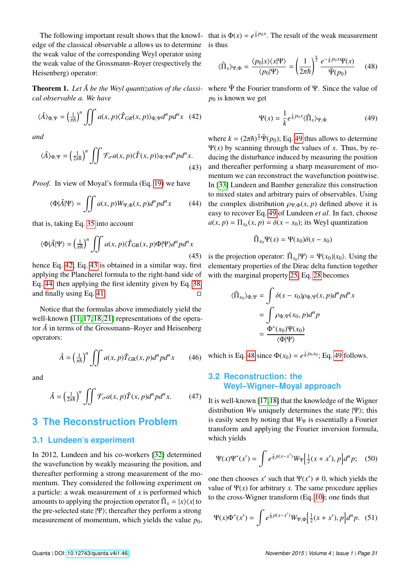edge of the classical observable *a* allows us to determine the weak value of the corresponding Weyl operator using the weak value of the Grossmann–Royer (respectively the Heisenberg) operator:

*cal observable a. We have*

<span id="page-4-0"></span>
$$
\langle \hat{A} \rangle_{\Phi,\Psi} = \left(\frac{1}{\pi \hbar}\right)^n \iint a(x,p) \langle \hat{T}_{GR}(x,p) \rangle_{\Phi,\Psi} d^n p d^n x \quad (42)
$$

*and*

<span id="page-4-1"></span>
$$
\langle \hat{A} \rangle_{\Phi,\Psi} = \left(\frac{1}{2\pi\hbar}\right)^n \iint \mathcal{F}_{\sigma} a(x,p) \langle \hat{T}(x,p) \rangle_{\Phi,\Psi} d^n p d^n x. \tag{43}
$$

*Proof.* In view of Moyal's formula (Eq. [19\)](#page-2-1) we have

<span id="page-4-2"></span>
$$
\langle \Phi | \hat{A} | \Psi \rangle = \iint a(x, p) W_{\Psi, \Phi}(x, p) d^n p d^n x \tag{44}
$$

that is, taking Eq. [35](#page-3-4) into account

$$
\langle \Phi | \hat{A} | \Psi \rangle = \left(\frac{1}{\pi \hbar}\right)^n \iint a(x, p) \langle \hat{T}_{GR}(x, p) \Phi | \Psi \rangle d^n p d^n x \tag{45}
$$

hence Eq. [42;](#page-4-0) Eq. [43](#page-4-1) is obtained in a similar way, first applying the Plancherel formula to the right-hand side of Eq. [44,](#page-4-2) then applying the first identity given by Eq. [38,](#page-3-3) and finally using Eq. [41.](#page-3-5)  $\Box$ 

Notice that the formulas above immediately yield the well-known [\[11,](#page-6-5) [17,](#page-6-12) [18,](#page-6-15) [21\]](#page-6-11) representations of the operator  $\hat{A}$  in terms of the Grossmann–Royer and Heisenberg operators:

$$
\hat{A} = \left(\frac{1}{\pi\hbar}\right)^n \iint a(x, p)\hat{T}_{GR}(x, p)d^n p d^n x \qquad (46)
$$

and

$$
\hat{A} = \left(\frac{1}{2\pi\hbar}\right)^n \iint \mathcal{F}_{\sigma} a(x, p) \hat{T}(x, p) d^n p d^n x.
$$
 (47)

## **3 The Reconstruction Problem**

#### **3.1 Lundeen's experiment**

In 2012, Lundeen and his co-workers [\[32\]](#page-7-4) determined the wavefunction by weakly measuring the position, and thereafter performing a strong measurement of the momentum. They considered the following experiment on a particle: a weak measurement of *x* is performed which amounts to applying the projection operator  $\hat{\Pi}_x = |x\rangle\langle x|$  to the pre-selected state  $|\Psi\rangle$ ; thereafter they perform a strong measurement of momentum, which yields the value  $p_0$ ,

The following important result shows that the knowl- that is  $\Phi(x) = e^{\frac{i}{\hbar} p_0 x}$ . The result of the weak measurement is thus

<span id="page-4-4"></span>
$$
\langle \hat{\Pi}_x \rangle_{\Psi,\Phi} = \frac{\langle p_0 | x \rangle \langle x | \Psi \rangle}{\langle p_0 | \Psi \rangle} = \left(\frac{1}{2\pi\hbar}\right)^{\frac{n}{2}} \frac{e^{-\frac{1}{\hbar}p_0 x} \Psi(x)}{\tilde{\Psi}(p_0)} \qquad (48)
$$

**Theorem 1.** Let  $\hat{A}$  be the Weyl quantization of the classi- where Ψ the Fourier transform of Ψ. Since the value of *p*<sup>0</sup> is known we get

<span id="page-4-3"></span>
$$
\Psi(x) = \frac{1}{k} e^{\frac{i}{\hbar} p_0 x} \langle \hat{\Pi}_x \rangle_{\Psi, \Phi} \tag{49}
$$

where  $k = (2\pi\hbar)^{\frac{n}{2}} \tilde{\Psi}(p_0)$ ; Eq. [49](#page-4-3) thus allows to determine Ψ(*x*) by scanning through the values of *x*. Thus, by reducing the disturbance induced by measuring the position and thereafter performing a sharp measurement of momentum we can reconstruct the wavefunction pointwise. In [\[33\]](#page-7-5) Lundeen and Bamber generalize this construction to mixed states and arbitrary pairs of observables. Using the complex distribution  $\rho_{\Psi,\Phi}(x, p)$  defined above it is easy to recover Eq. [49](#page-4-3) of Lundeen *et al*. In fact, choose  $a(x, p) = \Pi_{x_0}(x, p) = \delta(x - x_0)$ ; its Weyl quantization

$$
\hat{\Pi}_{x_0}\Psi(x)=\Psi(x_0)\delta(x-x_0)
$$

is the projection operator:  $\hat{\Pi}_{x_0}|\Psi\rangle = \Psi(x_0)|x_0\rangle$ . Using the elementary properties of the Dirac delta function together with the marginal property [25,](#page-3-6) Eq. [28](#page-3-7) becomes

$$
\langle \hat{\Pi}_{x_0} \rangle_{\Phi, \Psi} = \int \delta(x - x_0) \rho_{\Phi, \Psi}(x, p) d^n p d^n x
$$

$$
= \int \rho_{\Phi, \Psi}(x_0, p) d^n p
$$

$$
= \frac{\Phi^*(x_0) \Psi(x_0)}{\langle \Phi | \Psi \rangle}
$$

which is Eq. [48](#page-4-4) since  $\Phi(x_0) = e^{\frac{i}{\hbar} p_0 x_0}$ ; Eq. [49](#page-4-3) follows.

#### **3.2 Reconstruction: the Weyl–Wigner–Moyal approach**

It is well-known [\[17,](#page-6-12)[18\]](#page-6-15) that the knowledge of the Wigner distribution  $W_{\Psi}$  uniquely determines the state  $|\Psi\rangle$ ; this is easily seen by noting that  $W_{\Psi}$  is essentially a Fourier transform and applying the Fourier inversion formula, which yields

$$
\Psi(x)\Psi^*(x') = \int e^{\frac{i}{\hbar}p(x-x')}W_{\Psi}[\frac{1}{2}(x+x'), p]d^np; \quad (50)
$$

one then chooses  $x'$  such that  $\Psi(x') \neq 0$ , which yields the value of  $\Psi(x)$  for arbitrary *x*. The same procedure applies to the cross-Wigner transform (Eq. [10\)](#page-1-5); one finds that

<span id="page-4-5"></span>
$$
\Psi(x)\Phi^*(x') = \int e^{\frac{t}{\hbar}p(x-x')}W_{\Psi,\Phi} \Big[\frac{1}{2}(x+x'),p\Big]d^np. \tag{51}
$$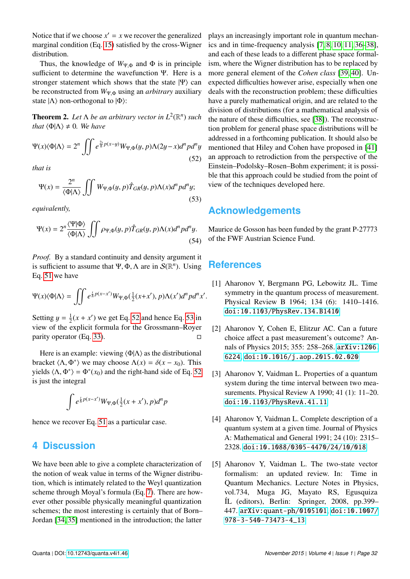Notice that if we choose  $x' = x$  we recover the generalized marginal condition (Eq. [15\)](#page-2-3) satisfied by the cross-Wigner distribution.

Thus, the knowledge of  $W_{\Psi,\Phi}$  and  $\Phi$  is in principle sufficient to determine the wavefunction Ψ. Here is a stronger statement which shows that the state  $|\Psi\rangle$  can be reconstructed from *<sup>W</sup>*Ψ,<sup>Φ</sup> using an *arbitrary* auxiliary state  $|\Lambda\rangle$  non-orthogonal to  $|\Phi\rangle$ :

<span id="page-5-3"></span>**Theorem 2.** Let  $\Lambda$  be an arbitrary vector in  $L^2(\mathbb{R}^n)$  such *that*  $\langle \Phi | \Lambda \rangle \neq 0$ *. We have* 

<span id="page-5-4"></span>
$$
\Psi(x)\langle\Phi|\Lambda\rangle = 2^n \iint e^{\frac{2t}{\hbar}p(x-y)} W_{\Psi,\Phi}(y,p)\Lambda(2y-x)d^n p d^n y
$$
\n(52)

*that is*

<span id="page-5-2"></span>
$$
\Psi(x) = \frac{2^n}{\langle \Phi | \Lambda \rangle} \iiint W_{\Psi, \Phi}(y, p) \hat{T}_{GR}(y, p) \Lambda(x) d^n p d^n y; \tag{53}
$$

*equivalently,*

$$
\Psi(x) = 2^n \frac{\langle \Psi | \Phi \rangle}{\langle \Phi | \Lambda \rangle} \iint \rho_{\Psi, \Phi}(y, p) \hat{T}_{GR}(y, p) \Lambda(x) d^n p d^n y. \tag{54}
$$

*Proof.* By a standard continuity and density argument it is sufficient to assume that  $\Psi$ ,  $\Phi$ ,  $\Lambda$  are in  $\mathcal{S}(\mathbb{R}^n)$ . Using Eq. 51 we have Eq. [51](#page-4-5) we have

$$
\Psi(x)\langle\Phi|\Lambda\rangle = \iint e^{\frac{i}{\hbar}p(x-x')}W_{\Psi,\Phi}(\frac{1}{2}(x+x'),p)\Lambda(x')d^npd^n x'
$$

Setting  $y = \frac{1}{2}$ <br>view of the s  $\frac{1}{2}(x + x')$  we get Eq. [52](#page-5-4) and hence Eq. [53](#page-5-2) in view of the explicit formula for the Grossmann–Royer parity operator (Eq. [33\)](#page-3-8).  $\Box$ 

Here is an example: viewing  $\langle \Phi | \Lambda \rangle$  as the distributional bracket  $\langle \Lambda, \Phi^* \rangle$  we may choose  $\Lambda(x) = \delta(x - x_0)$ . This yields  $\langle \Lambda, \Phi^* \rangle = \Phi^*(x_0)$  and the right-hand side of Eq. [52](#page-5-4) is just the integral

$$
\int e^{\frac{i}{\hbar}p(x-x')}W_{\Psi,\Phi}(\frac{1}{2}(x+x'),p)d^{n}p
$$

hence we recover Eq. [51](#page-4-5) as a particular case.

### **4 Discussion**

We have been able to give a complete characterization of the notion of weak value in terms of the Wigner distribution, which is intimately related to the Weyl quantization scheme through Moyal's formula (Eq. [7\)](#page-1-1). There are however other possible physically meaningful quantization schemes; the most interesting is certainly that of Born– Jordan [\[34,](#page-7-6) [35\]](#page-7-7) mentioned in the introduction; the latter

plays an increasingly important role in quantum mechanics and in time-frequency analysis [\[7,](#page-6-1) [8,](#page-6-2) [10,](#page-6-4) [11,](#page-6-5) [36–](#page-7-8)[38\]](#page-7-9), and each of these leads to a different phase space formalism, where the Wigner distribution has to be replaced by more general element of the *Cohen class* [\[39,](#page-7-10) [40\]](#page-7-11). Unexpected difficulties however arise, especially when one deals with the reconstruction problem; these difficulties have a purely mathematical origin, and are related to the division of distributions (for a mathematical analysis of the nature of these difficulties, see [\[38\]](#page-7-9)). The reconstruction problem for general phase space distributions will be addressed in a forthcoming publication. It should also be mentioned that Hiley and Cohen have proposed in [\[41\]](#page-7-12) an approach to retrodiction from the perspective of the Einstein–Podolsky–Rosen–Bohm experiment; it is possible that this approach could be studied from the point of view of the techniques developed here.

## **Acknowledgements**

Maurice de Gosson has been funded by the grant P-27773 of the FWF Austrian Science Fund.

## **References**

- <span id="page-5-0"></span>[1] Aharonov Y, Bergmann PG, Lebowitz JL. Time symmetry in the quantum process of measurement. Physical Review B 1964; 134 (6): 1410–1416. [doi:10.1103/PhysRev.134.B1410](http://dx.doi.org/10.1103/PhysRev.134.B1410)
- [2] Aharonov Y, Cohen E, Elitzur AC. Can a future choice affect a past measurement's outcome? Annals of Physics 2015; 355: 258–268. [arXiv:1206.](http://arxiv.org/abs/1206.6224) [6224](http://arxiv.org/abs/1206.6224), [doi:10.1016/j.aop.2015.02.020](http://dx.doi.org/10.1016/j.aop.2015.02.020)
- [3] Aharonov Y, Vaidman L. Properties of a quantum system during the time interval between two measurements. Physical Review A 1990; 41 (1): 11–20. [doi:10.1103/PhysRevA.41.11](http://dx.doi.org/10.1103/PhysRevA.41.11)
- [4] Aharonov Y, Vaidman L. Complete description of a quantum system at a given time. Journal of Physics A: Mathematical and General 1991; 24 (10): 2315– 2328. [doi:10.1088/0305-4470/24/10/018](http://dx.doi.org/10.1088/0305-4470/24/10/018)
- <span id="page-5-1"></span>[5] Aharonov Y, Vaidman L. The two-state vector formalism: an updated review. In: Time in Quantum Mechanics. Lecture Notes in Physics, vol.734, Muga JG, Mayato RS, Egusquiza ´IL (editors), Berlin: Springer, 2008, pp.399– 447. [arXiv:quant-ph/0105101](http://arxiv.org/abs/quant-ph/0105101), [doi:10.1007/](http://dx.doi.org/10.1007/978-3-540-73473-4_13) [978-3-540-73473-4\\_13](http://dx.doi.org/10.1007/978-3-540-73473-4_13)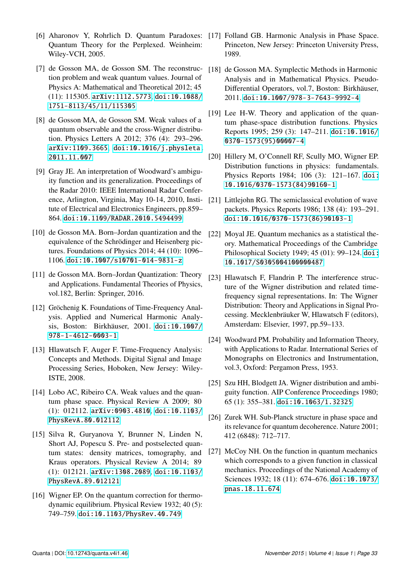- <span id="page-6-0"></span>[6] Aharonov Y, Rohrlich D. Quantum Paradoxes: [17] Folland GB. Harmonic Analysis in Phase Space. Quantum Theory for the Perplexed. Weinheim: Wiley-VCH, 2005.
- <span id="page-6-1"></span>[7] de Gosson MA, de Gosson SM. The reconstruction problem and weak quantum values. Journal of Physics A: Mathematical and Theoretical 2012; 45 (11): 115305. [arXiv:1112.5773](http://arxiv.org/abs/1112.5773), [doi:10.1088/](http://dx.doi.org/10.1088/1751-8113/45/11/115305) [1751-8113/45/11/115305](http://dx.doi.org/10.1088/1751-8113/45/11/115305)
- <span id="page-6-2"></span>[8] de Gosson MA, de Gosson SM. Weak values of a quantum observable and the cross-Wigner distribution. Physics Letters A 2012; 376 (4): 293–296. [arXiv:1109.3665](http://arxiv.org/abs/1109.3665), [doi:10.1016/j.physleta.](http://dx.doi.org/10.1016/j.physleta.2011.11.007) [2011.11.007](http://dx.doi.org/10.1016/j.physleta.2011.11.007)
- <span id="page-6-3"></span>[9] Gray JE. An interpretation of Woodward's ambiguity function and its generalization. Proceedings of the Radar 2010: IEEE International Radar Conference, Arlington, Virginia, May 10-14, 2010, Institute of Electrical and Electronics Engineers, pp.859– 864. [doi:10.1109/RADAR.2010.5494499](http://dx.doi.org/10.1109/RADAR.2010.5494499)
- <span id="page-6-4"></span>[10] de Gosson MA. Born–Jordan quantization and the equivalence of the Schrödinger and Heisenberg pictures. Foundations of Physics 2014; 44 (10): 1096– 1106. [doi:10.1007/s10701-014-9831-z](http://dx.doi.org/10.1007/s10701-014-9831-z)
- <span id="page-6-5"></span>[11] de Gosson MA. Born–Jordan Quantization: Theory and Applications. Fundamental Theories of Physics, vol.182, Berlin: Springer, 2016.
- <span id="page-6-6"></span>[12] Gröchenig K. Foundations of Time-Frequency Analysis. Applied and Numerical Harmonic Analysis, Boston: Birkhäuser, 2001. [doi:10.1007/](http://dx.doi.org/10.1007/978-1-4612-0003-1) [978-1-4612-0003-1](http://dx.doi.org/10.1007/978-1-4612-0003-1)
- <span id="page-6-7"></span>[13] Hlawatsch F, Auger F. Time-Frequency Analysis: Concepts and Methods. Digital Signal and Image Processing Series, Hoboken, New Jersey: Wiley-ISTE, 2008.
- <span id="page-6-8"></span>[14] Lobo AC, Ribeiro CA. Weak values and the quantum phase space. Physical Review A 2009; 80 (1): 012112. [arXiv:0903.4810](http://arxiv.org/abs/0903.4810), [doi:10.1103/](http://dx.doi.org/10.1103/PhysRevA.80.012112) [PhysRevA.80.012112](http://dx.doi.org/10.1103/PhysRevA.80.012112)
- <span id="page-6-9"></span>[15] Silva R, Guryanova Y, Brunner N, Linden N, Short AJ, Popescu S. Pre- and postselected quantum states: density matrices, tomography, and Kraus operators. Physical Review A 2014; 89 (1): 012121. [arXiv:1308.2089](http://arxiv.org/abs/1308.2089), [doi:10.1103/](http://dx.doi.org/10.1103/PhysRevA.89.012121) [PhysRevA.89.012121](http://dx.doi.org/10.1103/PhysRevA.89.012121)
- <span id="page-6-10"></span>[16] Wigner EP. On the quantum correction for thermodynamic equilibrium. Physical Review 1932; 40 (5): 749–759. [doi:10.1103/PhysRev.40.749](http://dx.doi.org/10.1103/PhysRev.40.749)
- <span id="page-6-12"></span>Princeton, New Jersey: Princeton University Press, 1989.
- <span id="page-6-15"></span>[18] de Gosson MA. Symplectic Methods in Harmonic Analysis and in Mathematical Physics. Pseudo-Differential Operators, vol.7, Boston: Birkhäuser, 2011. [doi:10.1007/978-3-7643-9992-4](http://dx.doi.org/10.1007/978-3-7643-9992-4)
- <span id="page-6-13"></span>[19] Lee H-W. Theory and application of the quantum phase-space distribution functions. Physics Reports 1995; 259 (3): 147–211. [doi:10.1016/](http://dx.doi.org/10.1016/0370-1573(95)00007-4) [0370-1573\(95\)00007-4](http://dx.doi.org/10.1016/0370-1573(95)00007-4)
- [20] Hillery M, O'Connell RF, Scully MO, Wigner EP. Distribution functions in physics: fundamentals. Physics Reports 1984; 106 (3): 121–167. [doi:](http://dx.doi.org/10.1016/0370-1573(84)90160-1) [10.1016/0370-1573\(84\)90160-1](http://dx.doi.org/10.1016/0370-1573(84)90160-1)
- <span id="page-6-11"></span>[21] Littlejohn RG. The semiclassical evolution of wave packets. Physics Reports 1986; 138 (4): 193–291. [doi:10.1016/0370-1573\(86\)90103-1](http://dx.doi.org/10.1016/0370-1573(86)90103-1)
- <span id="page-6-14"></span>[22] Moyal JE. Quantum mechanics as a statistical theory. Mathematical Proceedings of the Cambridge Philosophical Society 1949; 45 (01): 99–124. [doi:](http://dx.doi.org/10.1017/S0305004100000487) [10.1017/S0305004100000487](http://dx.doi.org/10.1017/S0305004100000487)
- <span id="page-6-16"></span>[23] Hlawatsch F, Flandrin P. The interference structure of the Wigner distribution and related timefrequency signal representations. In: The Wigner Distribution: Theory and Applications in Signal Processing. Mecklenbräuker W, Hlawatsch F (editors), Amsterdam: Elsevier, 1997, pp.59–133.
- <span id="page-6-17"></span>[24] Woodward PM. Probability and Information Theory, with Applications to Radar. International Series of Monographs on Electronics and Instrumentation, vol.3, Oxford: Pergamon Press, 1953.
- <span id="page-6-18"></span>[25] Szu HH, Blodgett JA. Wigner distribution and ambiguity function. AIP Conference Proceedings 1980; 65 (1): 355–381. [doi:10.1063/1.32325](http://dx.doi.org/10.1063/1.32325)
- <span id="page-6-19"></span>[26] Zurek WH. Sub-Planck structure in phase space and its relevance for quantum decoherence. Nature 2001; 412 (6848): 712–717.
- <span id="page-6-20"></span>[27] McCoy NH. On the function in quantum mechanics which corresponds to a given function in classical mechanics. Proceedings of the National Academy of Sciences 1932; 18 (11): 674-676. [doi:10.1073/](http://dx.doi.org/10.1073/pnas.18.11.674) [pnas.18.11.674](http://dx.doi.org/10.1073/pnas.18.11.674)